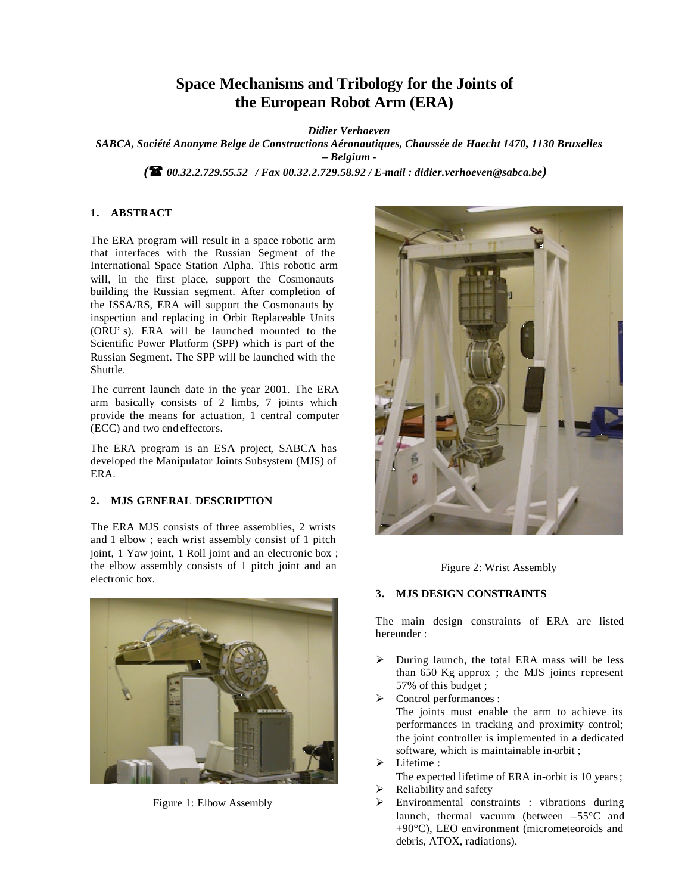# **Space Mechanisms and Tribology for the Joints of the European Robot Arm (ERA)**

*Didier Verhoeven*

*SABCA, Société Anonyme Belge de Constructions Aéronautiques, Chaussée de Haecht 1470, 1130 Bruxelles – Belgium -*

*(*( *00.32.2.729.55.52 / Fax 00.32.2.729.58.92 / E-mail : didier.verhoeven@sabca.be)*

## **1. ABSTRACT**

The ERA program will result in a space robotic arm that interfaces with the Russian Segment of the International Space Station Alpha. This robotic arm will, in the first place, support the Cosmonauts building the Russian segment. After completion of the ISSA/RS, ERA will support the Cosmonauts by inspection and replacing in Orbit Replaceable Units (ORU's). ERA will be launched mounted to the Scientific Power Platform (SPP) which is part of the Russian Segment. The SPP will be launched with the Shuttle.

The current launch date in the year 2001. The ERA arm basically consists of 2 limbs, 7 joints which provide the means for actuation, 1 central computer (ECC) and two end effectors.

The ERA program is an ESA project, SABCA has developed the Manipulator Joints Subsystem (MJS) of ERA.

#### **2. MJS GENERAL DESCRIPTION**

The ERA MJS consists of three assemblies, 2 wrists and 1 elbow ; each wrist assembly consist of 1 pitch joint, 1 Yaw joint, 1 Roll joint and an electronic box ; the elbow assembly consists of 1 pitch joint and an electronic box.



Figure 1: Elbow Assembly



Figure 2: Wrist Assembly

#### **3. MJS DESIGN CONSTRAINTS**

The main design constraints of ERA are listed hereunder :

- $\triangleright$  During launch, the total ERA mass will be less than 650 Kg approx ; the MJS joints represent 57% of this budget ;
- $\triangleright$  Control performances : The joints must enable the arm to achieve its performances in tracking and proximity control; the joint controller is implemented in a dedicated software, which is maintainable in-orbit ;
- Lifetime : The expected lifetime of ERA in-orbit is 10 years;
- Reliability and safety
- $\triangleright$  Environmental constraints : vibrations during launch, thermal vacuum (between  $-55^{\circ}$ C and +90°C), LEO environment (micrometeoroids and debris, ATOX, radiations).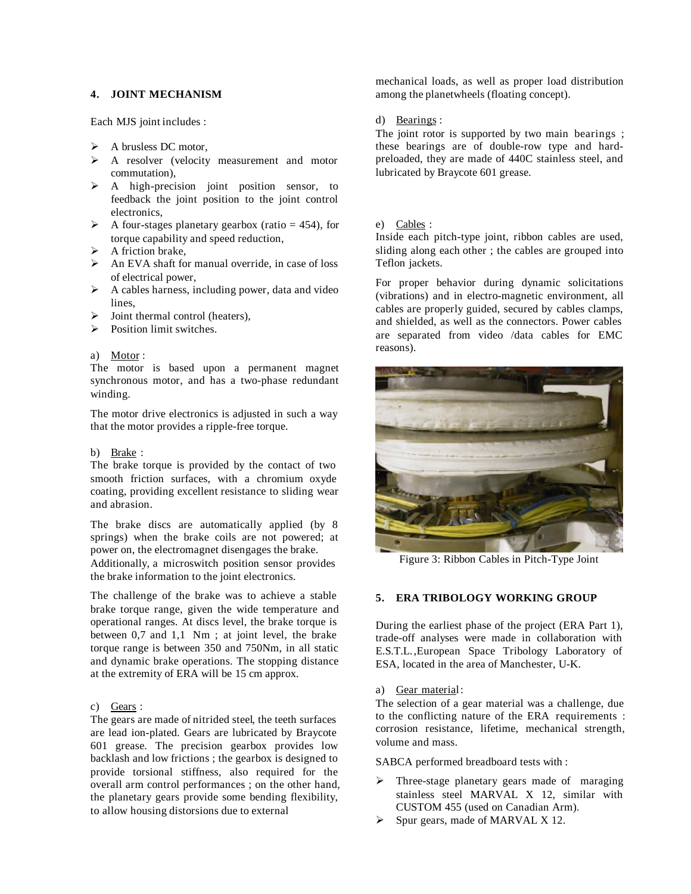## **4. JOINT MECHANISM**

Each MJS joint includes :

- $\triangleright$  A brusless DC motor,
- $\triangleright$  A resolver (velocity measurement and motor commutation),
- > A high-precision joint position sensor, to feedback the joint position to the joint control electronics,
- $\triangleright$  A four-stages planetary gearbox (ratio = 454), for torque capability and speed reduction,
- $\triangleright$  A friction brake.
- $\triangleright$  An EVA shaft for manual override, in case of loss of electrical power,
- $\triangleright$  A cables harness, including power, data and video lines,
- Joint thermal control (heaters),
- $\triangleright$  Position limit switches.

#### a) Motor :

The motor is based upon a permanent magnet synchronous motor, and has a two-phase redundant winding.

The motor drive electronics is adjusted in such a way that the motor provides a ripple-free torque.

#### b) Brake :

The brake torque is provided by the contact of two smooth friction surfaces, with a chromium oxyde coating, providing excellent resistance to sliding wear and abrasion.

The brake discs are automatically applied (by 8 springs) when the brake coils are not powered; at power on, the electromagnet disengages the brake.

Additionally, a microswitch position sensor provides the brake information to the joint electronics.

The challenge of the brake was to achieve a stable brake torque range, given the wide temperature and operational ranges. At discs level, the brake torque is between 0,7 and 1,1 Nm ; at joint level, the brake torque range is between 350 and 750Nm, in all static and dynamic brake operations. The stopping distance at the extremity of ERA will be 15 cm approx.

#### c) Gears :

The gears are made of nitrided steel, the teeth surfaces are lead ion-plated. Gears are lubricated by Braycote 601 grease. The precision gearbox provides low backlash and low frictions ; the gearbox is designed to provide torsional stiffness, also required for the overall arm control performances ; on the other hand, the planetary gears provide some bending flexibility, to allow housing distorsions due to external

mechanical loads, as well as proper load distribution among the planetwheels (floating concept).

#### d) Bearings :

The joint rotor is supported by two main bearings; these bearings are of double-row type and hardpreloaded, they are made of 440C stainless steel, and lubricated by Braycote 601 grease.

#### e) Cables :

Inside each pitch-type joint, ribbon cables are used, sliding along each other ; the cables are grouped into Teflon jackets.

For proper behavior during dynamic solicitations (vibrations) and in electro-magnetic environment, all cables are properly guided, secured by cables clamps, and shielded, as well as the connectors. Power cables are separated from video /data cables for EMC reasons).



Figure 3: Ribbon Cables in Pitch-Type Joint

## **5. ERA TRIBOLOGY WORKING GROUP**

During the earliest phase of the project (ERA Part 1), trade-off analyses were made in collaboration with E.S.T.L.,European Space Tribology Laboratory of ESA, located in the area of Manchester, U-K.

#### a) Gear material:

The selection of a gear material was a challenge, due to the conflicting nature of the ERA requirements : corrosion resistance, lifetime, mechanical strength, volume and mass.

SABCA performed breadboard tests with :

- $\triangleright$  Three-stage planetary gears made of maraging stainless steel MARVAL X 12, similar with CUSTOM 455 (used on Canadian Arm).
- $\triangleright$  Spur gears, made of MARVAL X 12.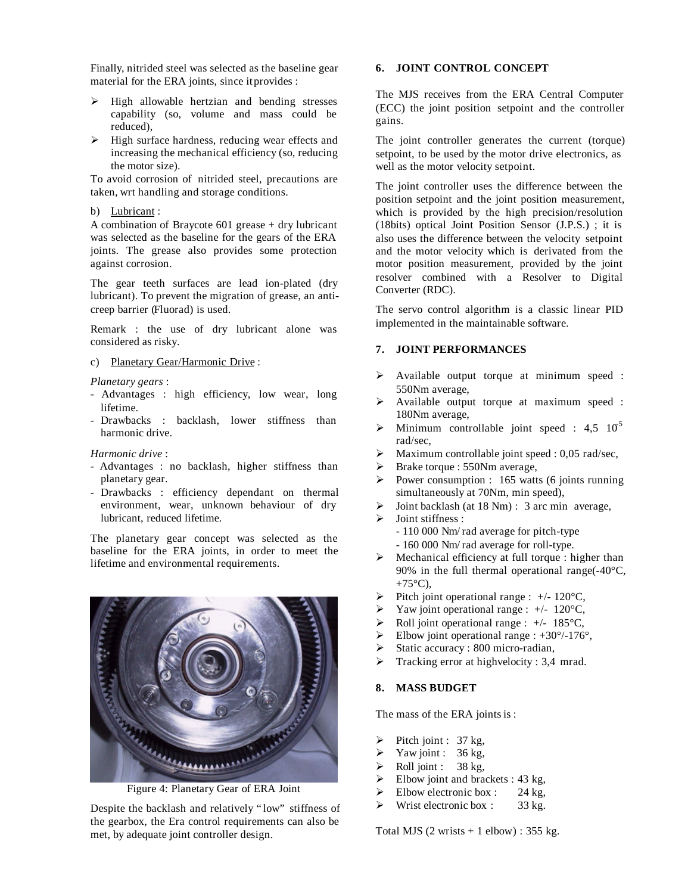Finally, nitrided steel was selected as the baseline gear material for the ERA joints, since it provides :

- ÿ High allowable hertzian and bending stresses capability (so, volume and mass could be reduced),
- $\triangleright$  High surface hardness, reducing wear effects and increasing the mechanical efficiency (so, reducing the motor size).

To avoid corrosion of nitrided steel, precautions are taken, wrt handling and storage conditions.

#### b) Lubricant :

A combination of Braycote 601 grease + dry lubricant was selected as the baseline for the gears of the ERA joints. The grease also provides some protection against corrosion.

The gear teeth surfaces are lead ion-plated (dry lubricant). To prevent the migration of grease, an anticreep barrier (Fluorad) is used.

Remark : the use of dry lubricant alone was considered as risky.

c) Planetary Gear/Harmonic Drive :

*Planetary gears* :

- Advantages : high efficiency, low wear, long lifetime.
- Drawbacks : backlash, lower stiffness than harmonic drive.

## *Harmonic drive* :

- Advantages : no backlash, higher stiffness than planetary gear.
- Drawbacks : efficiency dependant on thermal environment, wear, unknown behaviour of dry lubricant, reduced lifetime.

The planetary gear concept was selected as the baseline for the ERA joints, in order to meet the lifetime and environmental requirements.



Figure 4: Planetary Gear of ERA Joint

Despite the backlash and relatively "low" stiffness of the gearbox, the Era control requirements can also be met, by adequate joint controller design.

## **6. JOINT CONTROL CONCEPT**

The MJS receives from the ERA Central Computer (ECC) the joint position setpoint and the controller gains.

The joint controller generates the current (torque) setpoint, to be used by the motor drive electronics, as well as the motor velocity setpoint.

The joint controller uses the difference between the position setpoint and the joint position measurement, which is provided by the high precision/resolution (18bits) optical Joint Position Sensor (J.P.S.) ; it is also uses the difference between the velocity setpoint and the motor velocity which is derivated from the motor position measurement, provided by the joint resolver combined with a Resolver to Digital Converter (RDC).

The servo control algorithm is a classic linear PID implemented in the maintainable software.

# **7. JOINT PERFORMANCES**

- $\triangleright$  Available output torque at minimum speed : 550Nm average,
- $\triangleright$  Available output torque at maximum speed : 180Nm average,
- $\triangleright$  Minimum controllable joint speed : 4,5 10<sup>5</sup> rad/sec,
- $\triangleright$  Maximum controllable joint speed : 0,05 rad/sec,
- $\triangleright$  Brake torque : 550Nm average,
- $\triangleright$  Power consumption : 165 watts (6 joints running simultaneously at 70Nm, min speed),
- $\triangleright$  Joint backlash (at 18 Nm) : 3 arc min average,
- $\triangleright$  Joint stiffness :
	- 110 000 Nm/rad average for pitch-type - 160 000 Nm/rad average for roll-type.
- $\triangleright$  Mechanical efficiency at full torque : higher than 90% in the full thermal operational range(-40°C,  $+75^{\circ}$ C),
- $\triangleright$  Pitch joint operational range : +/- 120 °C,
- $\blacktriangleright$  Yaw joint operational range : +/- 120 °C,
- $\triangleright$  Roll joint operational range : +/- 185 °C.
- $\blacktriangleright$  Elbow joint operational range : +30°/-176°,
- ÿ Static accuracy : 800 micro-radian,
- $\triangleright$  Tracking error at high velocity : 3,4 mrad.

## **8. MASS BUDGET**

The mass of the ERA joints is :

- $\triangleright$  Pitch joint : 37 kg,
- Yaw joint :  $36 \text{ kg}$ ,
- $\triangleright$  Roll joint : 38 kg,
- $\blacktriangleright$  Elbow joint and brackets : 43 kg,
- $\blacktriangleright$  Elbow electronic box : 24 kg,
- $\triangleright$  Wrist electronic box : 33 kg.

Total MJS  $(2 \text{ writes} + 1 \text{ elbow}) : 355 \text{ kg}.$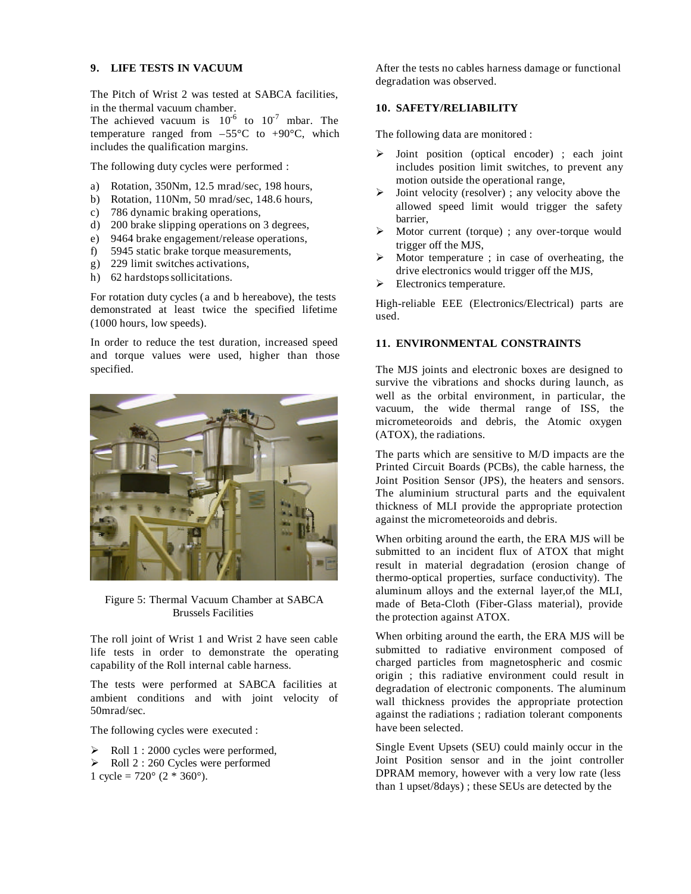## **9. LIFE TESTS IN VACUUM**

The Pitch of Wrist 2 was tested at SABCA facilities, in the thermal vacuum chamber.

The achieved vacuum is  $10^{-6}$  to  $10^{-7}$  mbar. The temperature ranged from  $-55^{\circ}$ C to  $+90^{\circ}$ C, which includes the qualification margins.

The following duty cycles were performed :

- a) Rotation, 350Nm, 12.5 mrad/sec, 198 hours,
- b) Rotation, 110Nm, 50 mrad/sec, 148.6 hours,
- c) 786 dynamic braking operations,
- d) 200 brake slipping operations on 3 degrees,
- e) 9464 brake engagement/release operations,
- f) 5945 static brake torque measurements,
- g) 229 limit switches activations,
- h) 62 hardstops sollicitations.

For rotation duty cycles (a and b hereabove), the tests demonstrated at least twice the specified lifetime (1000 hours, low speeds).

In order to reduce the test duration, increased speed and torque values were used, higher than those specified.



Figure 5: Thermal Vacuum Chamber at SABCA Brussels Facilities

The roll joint of Wrist 1 and Wrist 2 have seen cable life tests in order to demonstrate the operating capability of the Roll internal cable harness.

The tests were performed at SABCA facilities at ambient conditions and with joint velocity of 50mrad/sec.

The following cycles were executed :

- $\blacktriangleright$  Roll 1 : 2000 cycles were performed,
- $\triangleright$  Roll 2 : 260 Cycles were performed
- 1 cycle =  $720^{\circ}$  (2  $*$  360°).

After the tests no cables harness damage or functional degradation was observed.

## **10. SAFETY/RELIABILITY**

The following data are monitored :

- ÿ Joint position (optical encoder) ; each joint includes position limit switches, to prevent any motion outside the operational range,
- $\triangleright$  Joint velocity (resolver); any velocity above the allowed speed limit would trigger the safety barrier,
- $\triangleright$  Motor current (torque) ; any over-torque would trigger off the MJS,
- $\triangleright$  Motor temperature ; in case of overheating, the drive electronics would trigger off the MJS,
- $\blacktriangleright$  Electronics temperature.

High-reliable EEE (Electronics/Electrical) parts are used.

## **11. ENVIRONMENTAL CONSTRAINTS**

The MJS joints and electronic boxes are designed to survive the vibrations and shocks during launch, as well as the orbital environment, in particular, the vacuum, the wide thermal range of ISS, the micrometeoroids and debris, the Atomic oxygen (ATOX), the radiations.

The parts which are sensitive to M/D impacts are the Printed Circuit Boards (PCBs), the cable harness, the Joint Position Sensor (JPS), the heaters and sensors. The aluminium structural parts and the equivalent thickness of MLI provide the appropriate protection against the micrometeoroids and debris.

When orbiting around the earth, the ERA MJS will be submitted to an incident flux of ATOX that might result in material degradation (erosion change of thermo-optical properties, surface conductivity). The aluminum alloys and the external layer,of the MLI, made of Beta-Cloth (Fiber-Glass material), provide the protection against ATOX.

When orbiting around the earth, the ERA MJS will be submitted to radiative environment composed of charged particles from magnetospheric and cosmic origin ; this radiative environment could result in degradation of electronic components. The aluminum wall thickness provides the appropriate protection against the radiations ; radiation tolerant components have been selected.

Single Event Upsets (SEU) could mainly occur in the Joint Position sensor and in the joint controller DPRAM memory, however with a very low rate (less than 1 upset/8days) ; these SEUs are detected by the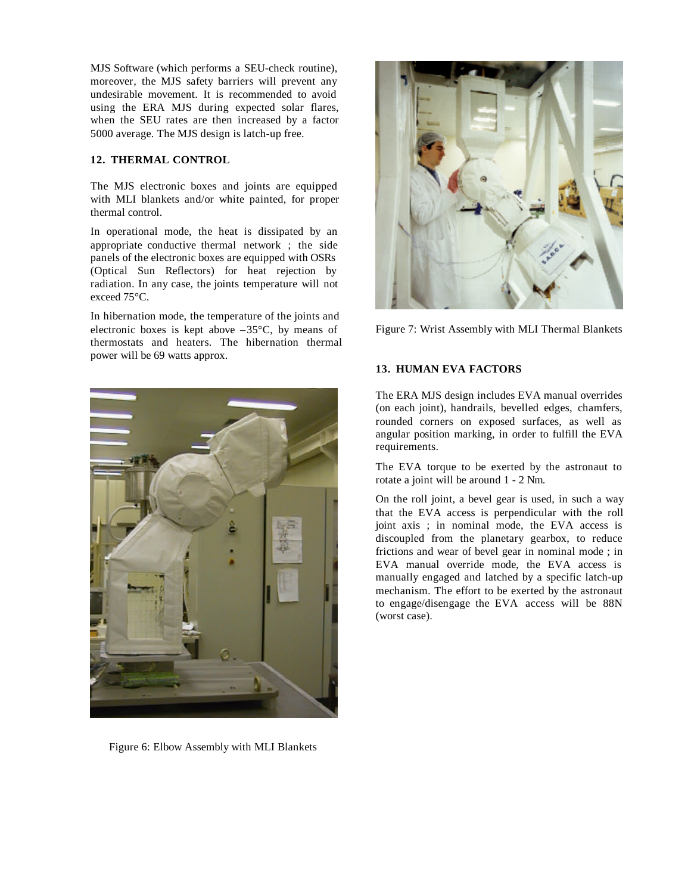MJS Software (which performs a SEU-check routine), moreover, the MJS safety barriers will prevent any undesirable movement. It is recommended to avoid using the ERA MJS during expected solar flares, when the SEU rates are then increased by a factor 5000 average. The MJS design is latch-up free.

## **12. THERMAL CONTROL**

The MJS electronic boxes and joints are equipped with MLI blankets and/or white painted, for proper thermal control.

In operational mode, the heat is dissipated by an appropriate conductive thermal network ; the side panels of the electronic boxes are equipped with OSRs (Optical Sun Reflectors) for heat rejection by radiation. In any case, the joints temperature will not exceed 75°C.

In hibernation mode, the temperature of the joints and electronic boxes is kept above  $-35^{\circ}$ C, by means of thermostats and heaters. The hibernation thermal power will be 69 watts approx.



Figure 6: Elbow Assembly with MLI Blankets



Figure 7: Wrist Assembly with MLI Thermal Blankets

# **13. HUMAN EVA FACTORS**

The ERA MJS design includes EVA manual overrides (on each joint), handrails, bevelled edges, chamfers, rounded corners on exposed surfaces, as well as angular position marking, in order to fulfill the EVA requirements.

The EVA torque to be exerted by the astronaut to rotate a joint will be around 1 - 2 Nm.

On the roll joint, a bevel gear is used, in such a way that the EVA access is perpendicular with the roll joint axis ; in nominal mode, the EVA access is discoupled from the planetary gearbox, to reduce frictions and wear of bevel gear in nominal mode ; in EVA manual override mode, the EVA access is manually engaged and latched by a specific latch-up mechanism. The effort to be exerted by the astronaut to engage/disengage the EVA access will be 88N (worst case).